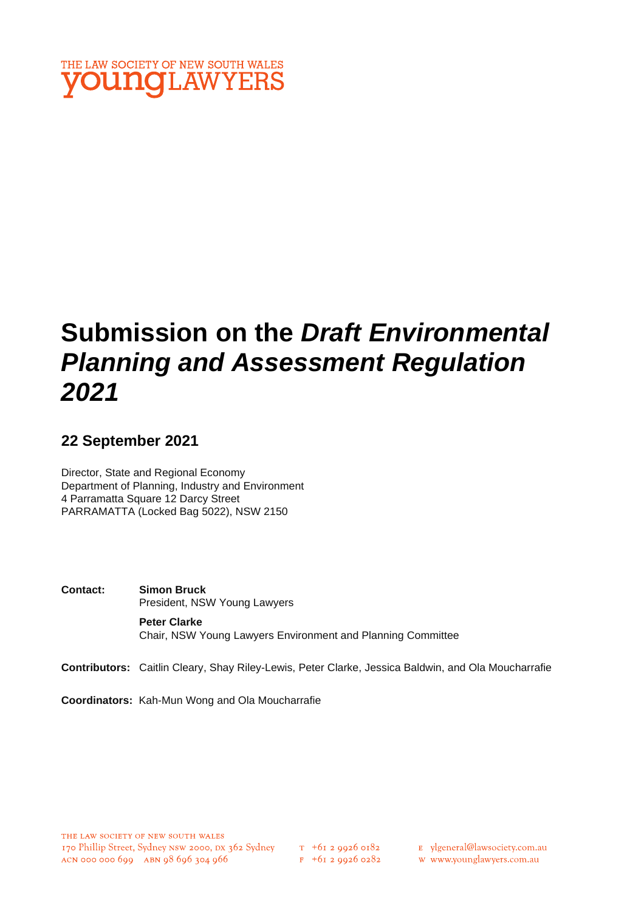

# **Submission on the** *Draft Environmental Planning and Assessment Regulation 2021*

# **22 September 2021**

Director, State and Regional Economy Department of Planning, Industry and Environment 4 Parramatta Square 12 Darcy Street PARRAMATTA (Locked Bag 5022), NSW 2150

**Contact: Simon Bruck** President, NSW Young Lawyers **Peter Clarke** Chair, NSW Young Lawyers Environment and Planning Committee

**Contributors:** Caitlin Cleary, Shay Riley-Lewis, Peter Clarke, Jessica Baldwin, and Ola Moucharrafie

**Coordinators:** Kah-Mun Wong and Ola Moucharrafie

E ylgeneral@lawsociety.com.au

w www.younglawyers.com.au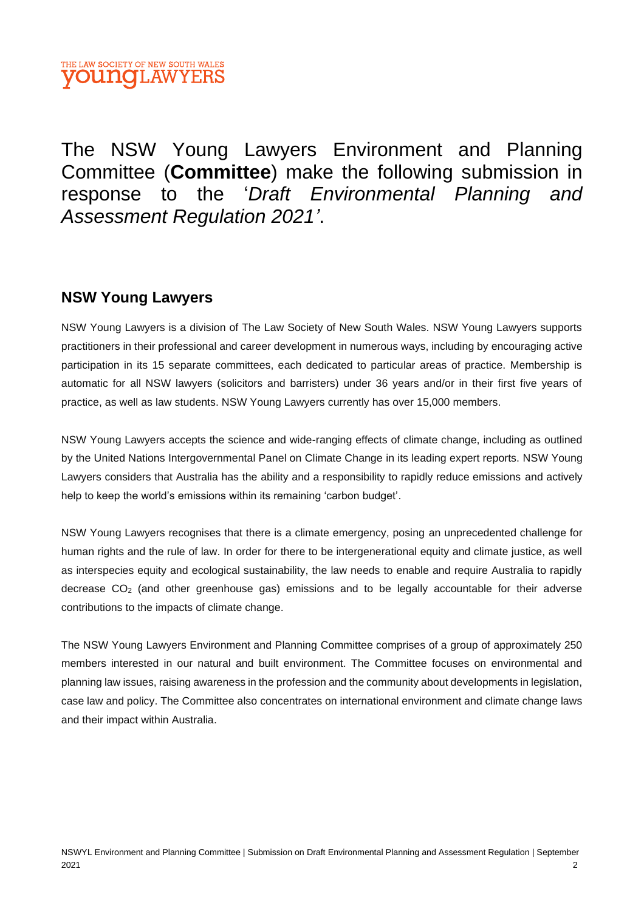

The NSW Young Lawyers Environment and Planning Committee (**Committee**) make the following submission in response to the '*Draft Environmental Planning and Assessment Regulation 2021'*.

### **NSW Young Lawyers**

NSW Young Lawyers is a division of The Law Society of New South Wales. NSW Young Lawyers supports practitioners in their professional and career development in numerous ways, including by encouraging active participation in its 15 separate committees, each dedicated to particular areas of practice. Membership is automatic for all NSW lawyers (solicitors and barristers) under 36 years and/or in their first five years of practice, as well as law students. NSW Young Lawyers currently has over 15,000 members.

NSW Young Lawyers accepts the science and wide-ranging effects of climate change, including as outlined by the United Nations Intergovernmental Panel on Climate Change in its leading expert reports. NSW Young Lawyers considers that Australia has the ability and a responsibility to rapidly reduce emissions and actively help to keep the world's emissions within its remaining 'carbon budget'.

NSW Young Lawyers recognises that there is a climate emergency, posing an unprecedented challenge for human rights and the rule of law. In order for there to be intergenerational equity and climate justice, as well as interspecies equity and ecological sustainability, the law needs to enable and require Australia to rapidly decrease  $CO<sub>2</sub>$  (and other greenhouse gas) emissions and to be legally accountable for their adverse contributions to the impacts of climate change.

The NSW Young Lawyers Environment and Planning Committee comprises of a group of approximately 250 members interested in our natural and built environment. The Committee focuses on environmental and planning law issues, raising awareness in the profession and the community about developments in legislation, case law and policy. The Committee also concentrates on international environment and climate change laws and their impact within Australia.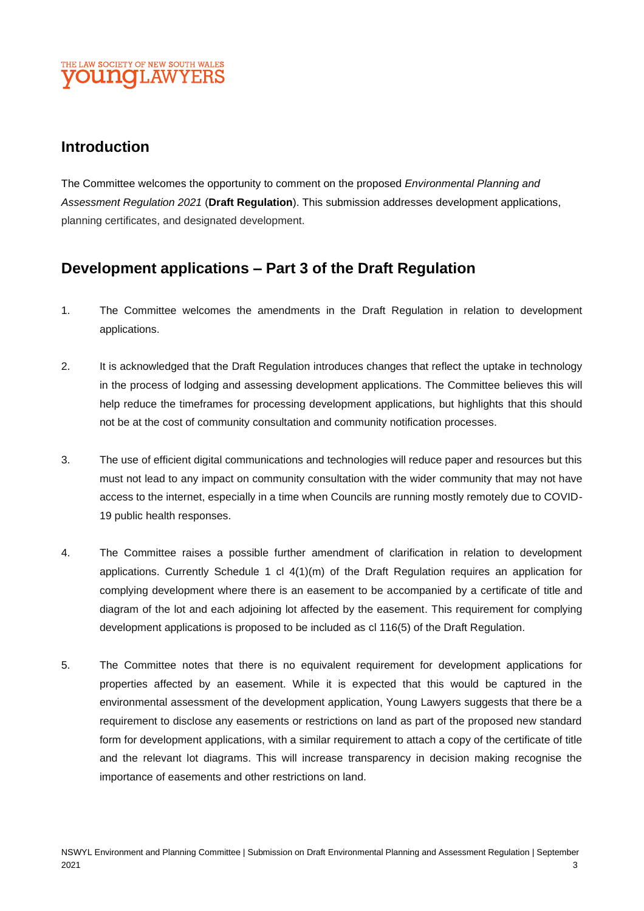### THE LAW SOCIETY OF NEW SOUTH WALES **DUNOLAWYEI**

### **Introduction**

The Committee welcomes the opportunity to comment on the proposed *Environmental Planning and Assessment Regulation 2021* (**Draft Regulation**). This submission addresses development applications, planning certificates, and designated development.

# **Development applications – Part 3 of the Draft Regulation**

- 1. The Committee welcomes the amendments in the Draft Regulation in relation to development applications.
- 2. It is acknowledged that the Draft Regulation introduces changes that reflect the uptake in technology in the process of lodging and assessing development applications. The Committee believes this will help reduce the timeframes for processing development applications, but highlights that this should not be at the cost of community consultation and community notification processes.
- 3. The use of efficient digital communications and technologies will reduce paper and resources but this must not lead to any impact on community consultation with the wider community that may not have access to the internet, especially in a time when Councils are running mostly remotely due to COVID-19 public health responses.
- 4. The Committee raises a possible further amendment of clarification in relation to development applications. Currently Schedule 1 cl  $4(1)(m)$  of the Draft Regulation requires an application for complying development where there is an easement to be accompanied by a certificate of title and diagram of the lot and each adjoining lot affected by the easement. This requirement for complying development applications is proposed to be included as cl 116(5) of the Draft Regulation.
- 5. The Committee notes that there is no equivalent requirement for development applications for properties affected by an easement. While it is expected that this would be captured in the environmental assessment of the development application, Young Lawyers suggests that there be a requirement to disclose any easements or restrictions on land as part of the proposed new standard form for development applications, with a similar requirement to attach a copy of the certificate of title and the relevant lot diagrams. This will increase transparency in decision making recognise the importance of easements and other restrictions on land.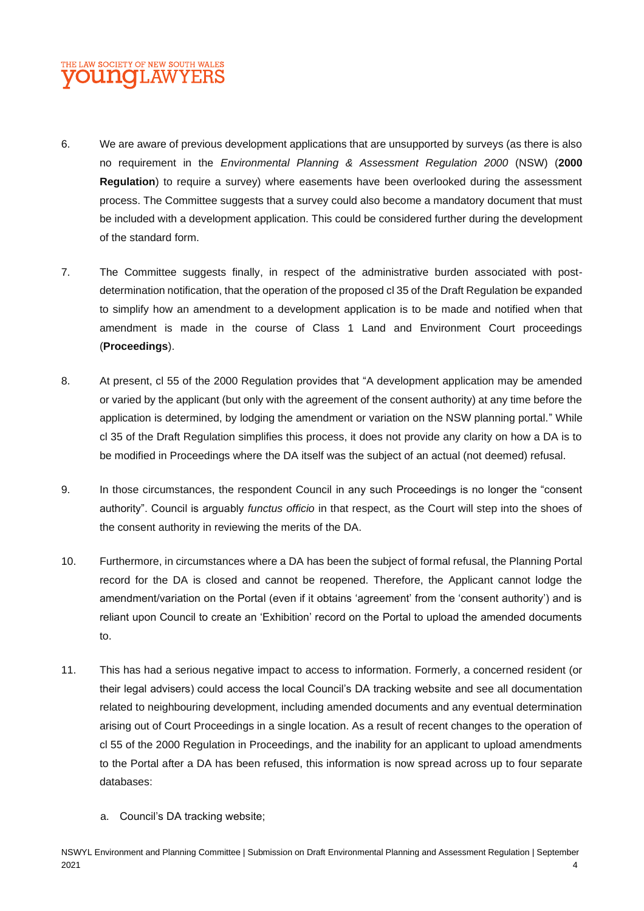### THE LAW SOCIETY OF NEW SOUTH WALES **OUNOLAWYER**

- 6. We are aware of previous development applications that are unsupported by surveys (as there is also no requirement in the *Environmental Planning & Assessment Regulation 2000* (NSW) (**2000 Regulation**) to require a survey) where easements have been overlooked during the assessment process. The Committee suggests that a survey could also become a mandatory document that must be included with a development application. This could be considered further during the development of the standard form.
- 7. The Committee suggests finally, in respect of the administrative burden associated with postdetermination notification, that the operation of the proposed cl 35 of the Draft Regulation be expanded to simplify how an amendment to a development application is to be made and notified when that amendment is made in the course of Class 1 Land and Environment Court proceedings (**Proceedings**).
- 8. At present, cl 55 of the 2000 Regulation provides that "A development application may be amended or varied by the applicant (but only with the agreement of the consent authority) at any time before the application is determined, by lodging the amendment or variation on the NSW planning portal." While cl 35 of the Draft Regulation simplifies this process, it does not provide any clarity on how a DA is to be modified in Proceedings where the DA itself was the subject of an actual (not deemed) refusal.
- 9. In those circumstances, the respondent Council in any such Proceedings is no longer the "consent authority". Council is arguably *functus officio* in that respect, as the Court will step into the shoes of the consent authority in reviewing the merits of the DA.
- 10. Furthermore, in circumstances where a DA has been the subject of formal refusal, the Planning Portal record for the DA is closed and cannot be reopened. Therefore, the Applicant cannot lodge the amendment/variation on the Portal (even if it obtains 'agreement' from the 'consent authority') and is reliant upon Council to create an 'Exhibition' record on the Portal to upload the amended documents to.
- 11. This has had a serious negative impact to access to information. Formerly, a concerned resident (or their legal advisers) could access the local Council's DA tracking website and see all documentation related to neighbouring development, including amended documents and any eventual determination arising out of Court Proceedings in a single location. As a result of recent changes to the operation of cl 55 of the 2000 Regulation in Proceedings, and the inability for an applicant to upload amendments to the Portal after a DA has been refused, this information is now spread across up to four separate databases:
	- a. Council's DA tracking website;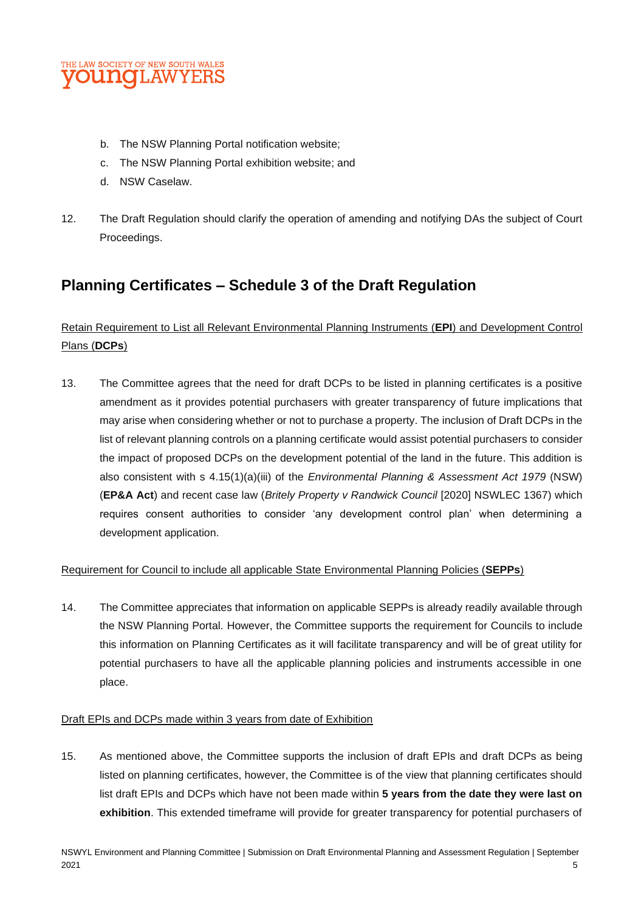

- b. The NSW Planning Portal notification website;
- c. The NSW Planning Portal exhibition website; and
- d. NSW Caselaw.
- 12. The Draft Regulation should clarify the operation of amending and notifying DAs the subject of Court Proceedings.

# **Planning Certificates – Schedule 3 of the Draft Regulation**

### Retain Requirement to List all Relevant Environmental Planning Instruments (**EPI**) and Development Control Plans (**DCPs**)

13. The Committee agrees that the need for draft DCPs to be listed in planning certificates is a positive amendment as it provides potential purchasers with greater transparency of future implications that may arise when considering whether or not to purchase a property. The inclusion of Draft DCPs in the list of relevant planning controls on a planning certificate would assist potential purchasers to consider the impact of proposed DCPs on the development potential of the land in the future. This addition is also consistent with s 4.15(1)(a)(iii) of the *Environmental Planning & Assessment Act 1979* (NSW) (**EP&A Act**) and recent case law (*Britely Property v Randwick Council* [2020] NSWLEC 1367) which requires consent authorities to consider 'any development control plan' when determining a development application.

#### Requirement for Council to include all applicable State Environmental Planning Policies (**SEPPs**)

14. The Committee appreciates that information on applicable SEPPs is already readily available through the NSW Planning Portal. However, the Committee supports the requirement for Councils to include this information on Planning Certificates as it will facilitate transparency and will be of great utility for potential purchasers to have all the applicable planning policies and instruments accessible in one place.

#### Draft EPIs and DCPs made within 3 years from date of Exhibition

15. As mentioned above, the Committee supports the inclusion of draft EPIs and draft DCPs as being listed on planning certificates, however, the Committee is of the view that planning certificates should list draft EPIs and DCPs which have not been made within **5 years from the date they were last on exhibition**. This extended timeframe will provide for greater transparency for potential purchasers of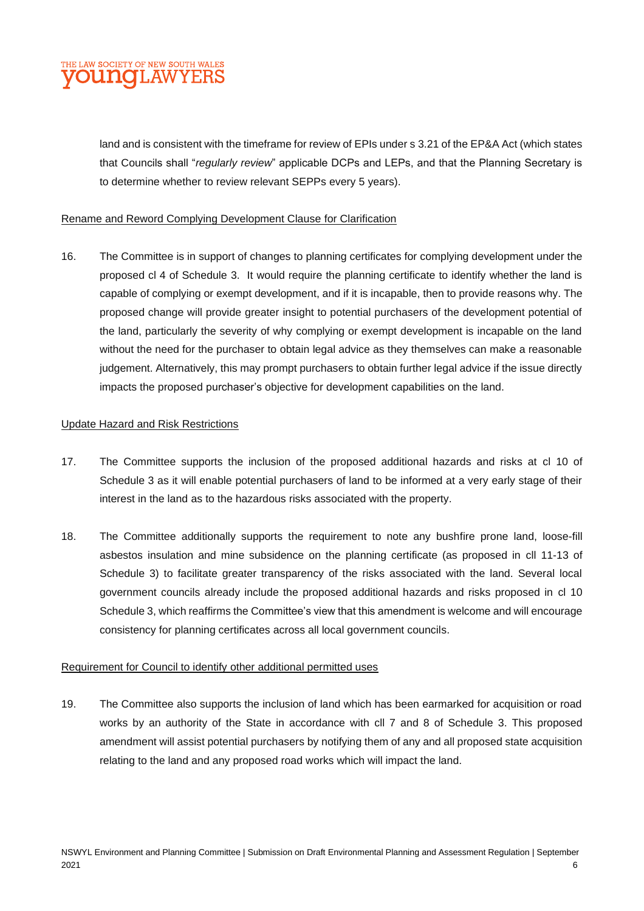

land and is consistent with the timeframe for review of EPIs under s 3.21 of the EP&A Act (which states that Councils shall "*regularly review*" applicable DCPs and LEPs, and that the Planning Secretary is to determine whether to review relevant SEPPs every 5 years).

#### Rename and Reword Complying Development Clause for Clarification

16. The Committee is in support of changes to planning certificates for complying development under the proposed cl 4 of Schedule 3. It would require the planning certificate to identify whether the land is capable of complying or exempt development, and if it is incapable, then to provide reasons why. The proposed change will provide greater insight to potential purchasers of the development potential of the land, particularly the severity of why complying or exempt development is incapable on the land without the need for the purchaser to obtain legal advice as they themselves can make a reasonable judgement. Alternatively, this may prompt purchasers to obtain further legal advice if the issue directly impacts the proposed purchaser's objective for development capabilities on the land.

#### Update Hazard and Risk Restrictions

- 17. The Committee supports the inclusion of the proposed additional hazards and risks at cl 10 of Schedule 3 as it will enable potential purchasers of land to be informed at a very early stage of their interest in the land as to the hazardous risks associated with the property.
- 18. The Committee additionally supports the requirement to note any bushfire prone land, loose-fill asbestos insulation and mine subsidence on the planning certificate (as proposed in cll 11-13 of Schedule 3) to facilitate greater transparency of the risks associated with the land. Several local government councils already include the proposed additional hazards and risks proposed in cl 10 Schedule 3, which reaffirms the Committee's view that this amendment is welcome and will encourage consistency for planning certificates across all local government councils.

#### Requirement for Council to identify other additional permitted uses

19. The Committee also supports the inclusion of land which has been earmarked for acquisition or road works by an authority of the State in accordance with cll 7 and 8 of Schedule 3. This proposed amendment will assist potential purchasers by notifying them of any and all proposed state acquisition relating to the land and any proposed road works which will impact the land.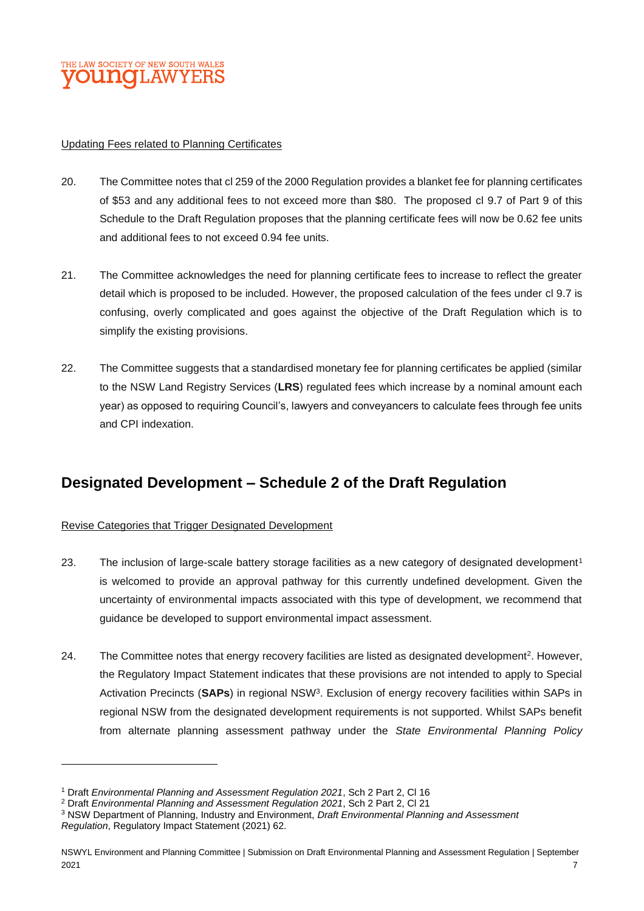

#### Updating Fees related to Planning Certificates

- 20. The Committee notes that cl 259 of the 2000 Regulation provides a blanket fee for planning certificates of \$53 and any additional fees to not exceed more than \$80. The proposed cl 9.7 of Part 9 of this Schedule to the Draft Regulation proposes that the planning certificate fees will now be 0.62 fee units and additional fees to not exceed 0.94 fee units.
- 21. The Committee acknowledges the need for planning certificate fees to increase to reflect the greater detail which is proposed to be included. However, the proposed calculation of the fees under cl 9.7 is confusing, overly complicated and goes against the objective of the Draft Regulation which is to simplify the existing provisions.
- 22. The Committee suggests that a standardised monetary fee for planning certificates be applied (similar to the NSW Land Registry Services (**LRS**) regulated fees which increase by a nominal amount each year) as opposed to requiring Council's, lawyers and conveyancers to calculate fees through fee units and CPI indexation.

### **Designated Development – Schedule 2 of the Draft Regulation**

#### Revise Categories that Trigger Designated Development

- 23. The inclusion of large-scale battery storage facilities as a new category of designated development<sup>1</sup> is welcomed to provide an approval pathway for this currently undefined development. Given the uncertainty of environmental impacts associated with this type of development, we recommend that guidance be developed to support environmental impact assessment.
- 24. The Committee notes that energy recovery facilities are listed as designated development<sup>2</sup>. However, the Regulatory Impact Statement indicates that these provisions are not intended to apply to Special Activation Precincts (**SAPs**) in regional NSW<sup>3</sup> . Exclusion of energy recovery facilities within SAPs in regional NSW from the designated development requirements is not supported. Whilst SAPs benefit from alternate planning assessment pathway under the *State Environmental Planning Policy*

<sup>1</sup> Draft *Environmental Planning and Assessment Regulation 2021*, Sch 2 Part 2, Cl 16

<sup>2</sup> Draft *Environmental Planning and Assessment Regulation 2021*, Sch 2 Part 2, Cl 21

<sup>3</sup> NSW Department of Planning, Industry and Environment, *Draft Environmental Planning and Assessment Regulation*, Regulatory Impact Statement (2021) 62.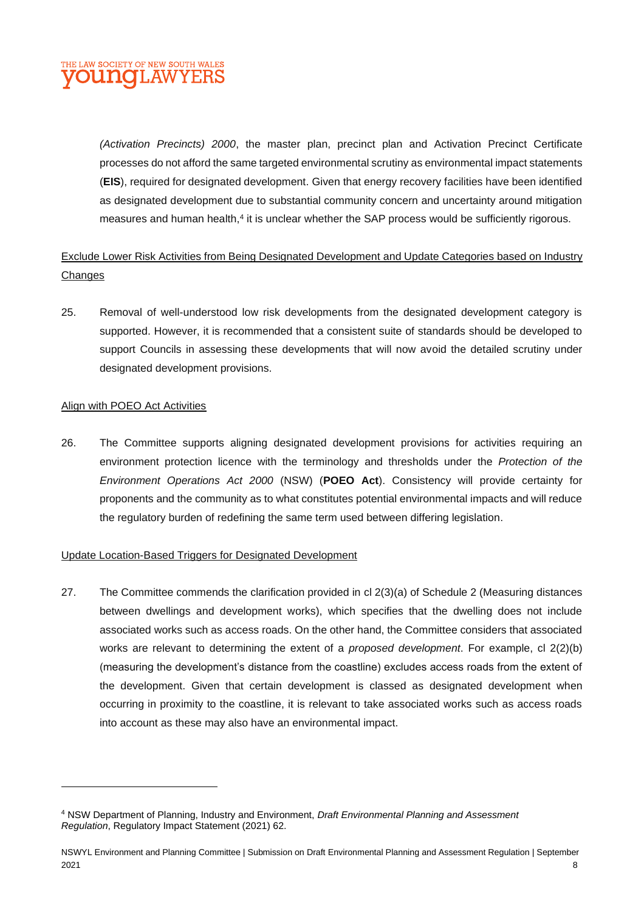

*(Activation Precincts) 2000*, the master plan, precinct plan and Activation Precinct Certificate processes do not afford the same targeted environmental scrutiny as environmental impact statements (**EIS**), required for designated development. Given that energy recovery facilities have been identified as designated development due to substantial community concern and uncertainty around mitigation measures and human health, $4$  it is unclear whether the SAP process would be sufficiently rigorous.

Exclude Lower Risk Activities from Being Designated Development and Update Categories based on Industry **Changes** 

25. Removal of well-understood low risk developments from the designated development category is supported. However, it is recommended that a consistent suite of standards should be developed to support Councils in assessing these developments that will now avoid the detailed scrutiny under designated development provisions.

#### Align with POEO Act Activities

26. The Committee supports aligning designated development provisions for activities requiring an environment protection licence with the terminology and thresholds under the *Protection of the Environment Operations Act 2000* (NSW) (**POEO Act**). Consistency will provide certainty for proponents and the community as to what constitutes potential environmental impacts and will reduce the regulatory burden of redefining the same term used between differing legislation.

#### Update Location-Based Triggers for Designated Development

27. The Committee commends the clarification provided in cl 2(3)(a) of Schedule 2 (Measuring distances between dwellings and development works), which specifies that the dwelling does not include associated works such as access roads. On the other hand, the Committee considers that associated works are relevant to determining the extent of a *proposed development*. For example, cl 2(2)(b) (measuring the development's distance from the coastline) excludes access roads from the extent of the development. Given that certain development is classed as designated development when occurring in proximity to the coastline, it is relevant to take associated works such as access roads into account as these may also have an environmental impact.

<sup>4</sup> NSW Department of Planning, Industry and Environment, *Draft Environmental Planning and Assessment Regulation*, Regulatory Impact Statement (2021) 62.